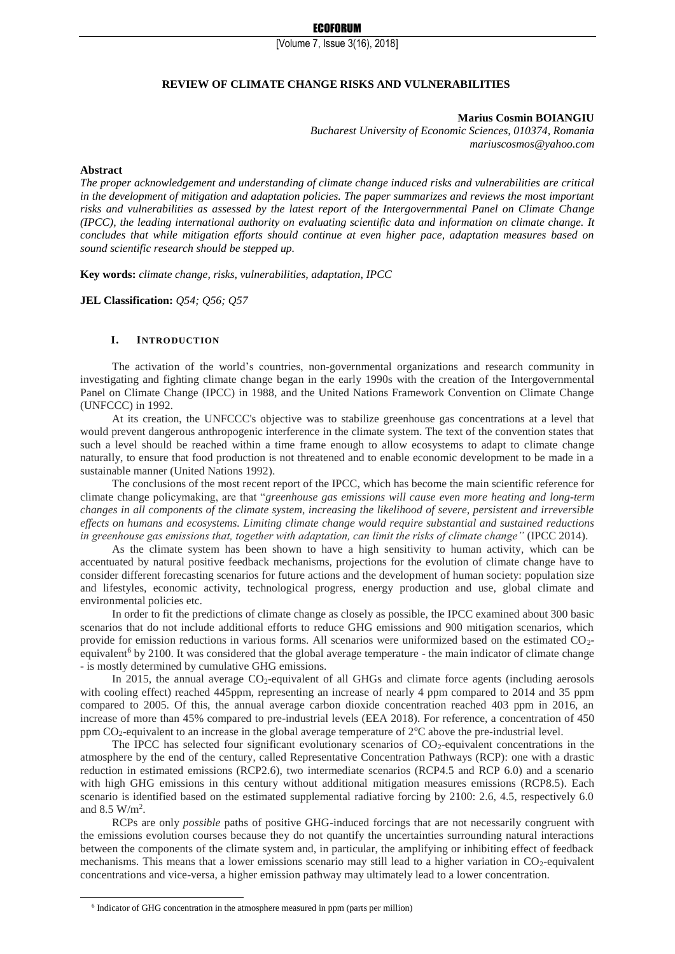## **REVIEW OF CLIMATE CHANGE RISKS AND VULNERABILITIES**

**Marius Cosmin BOIANGIU**

*Bucharest University of Economic Sciences, 010374, Romania mariuscosmos@yahoo.com*

#### **Abstract**

-

*The proper acknowledgement and understanding of climate change induced risks and vulnerabilities are critical in the development of mitigation and adaptation policies. The paper summarizes and reviews the most important risks and vulnerabilities as assessed by the latest report of the Intergovernmental Panel on Climate Change (IPCC), the leading international authority on evaluating scientific data and information on climate change. It concludes that while mitigation efforts should continue at even higher pace, adaptation measures based on sound scientific research should be stepped up.*

**Key words:** *climate change, risks, vulnerabilities, adaptation, IPCC*

**JEL Classification:** *Q54; Q56; Q57*

### **I. INTRODUCTION**

The activation of the world's countries, non-governmental organizations and research community in investigating and fighting climate change began in the early 1990s with the creation of the Intergovernmental Panel on Climate Change (IPCC) in 1988, and the United Nations Framework Convention on Climate Change (UNFCCC) in 1992.

At its creation, the UNFCCC's objective was to stabilize greenhouse gas concentrations at a level that would prevent dangerous anthropogenic interference in the climate system. The text of the convention states that such a level should be reached within a time frame enough to allow ecosystems to adapt to climate change naturally, to ensure that food production is not threatened and to enable economic development to be made in a sustainable manner (United Nations 1992).

The conclusions of the most recent report of the IPCC, which has become the main scientific reference for climate change policymaking, are that "*greenhouse gas emissions will cause even more heating and long-term changes in all components of the climate system, increasing the likelihood of severe, persistent and irreversible effects on humans and ecosystems. Limiting climate change would require substantial and sustained reductions in greenhouse gas emissions that, together with adaptation, can limit the risks of climate change"* (IPCC 2014).

As the climate system has been shown to have a high sensitivity to human activity, which can be accentuated by natural positive feedback mechanisms, projections for the evolution of climate change have to consider different forecasting scenarios for future actions and the development of human society: population size and lifestyles, economic activity, technological progress, energy production and use, global climate and environmental policies etc.

In order to fit the predictions of climate change as closely as possible, the IPCC examined about 300 basic scenarios that do not include additional efforts to reduce GHG emissions and 900 mitigation scenarios, which provide for emission reductions in various forms. All scenarios were uniformized based on the estimated CO2 equivalent<sup>6</sup> by 2100. It was considered that the global average temperature - the main indicator of climate change - is mostly determined by cumulative GHG emissions.

In 2015, the annual average  $CO<sub>2</sub>$ -equivalent of all GHGs and climate force agents (including aerosols with cooling effect) reached 445ppm, representing an increase of nearly 4 ppm compared to 2014 and 35 ppm compared to 2005. Of this, the annual average carbon dioxide concentration reached 403 ppm in 2016, an increase of more than 45% compared to pre-industrial levels (EEA 2018). For reference, a concentration of 450 ppm  $CO_2$ -equivalent to an increase in the global average temperature of  $2^{\circ}C$  above the pre-industrial level.

The IPCC has selected four significant evolutionary scenarios of  $CO<sub>2</sub>$ -equivalent concentrations in the atmosphere by the end of the century, called Representative Concentration Pathways (RCP): one with a drastic reduction in estimated emissions (RCP2.6), two intermediate scenarios (RCP4.5 and RCP 6.0) and a scenario with high GHG emissions in this century without additional mitigation measures emissions (RCP8.5). Each scenario is identified based on the estimated supplemental radiative forcing by 2100: 2.6, 4.5, respectively 6.0 and 8.5 W/m<sup>2</sup>.

RCPs are only *possible* paths of positive GHG-induced forcings that are not necessarily congruent with the emissions evolution courses because they do not quantify the uncertainties surrounding natural interactions between the components of the climate system and, in particular, the amplifying or inhibiting effect of feedback mechanisms. This means that a lower emissions scenario may still lead to a higher variation in CO<sub>2</sub>-equivalent concentrations and vice-versa, a higher emission pathway may ultimately lead to a lower concentration.

<sup>&</sup>lt;sup>6</sup> Indicator of GHG concentration in the atmosphere measured in ppm (parts per million)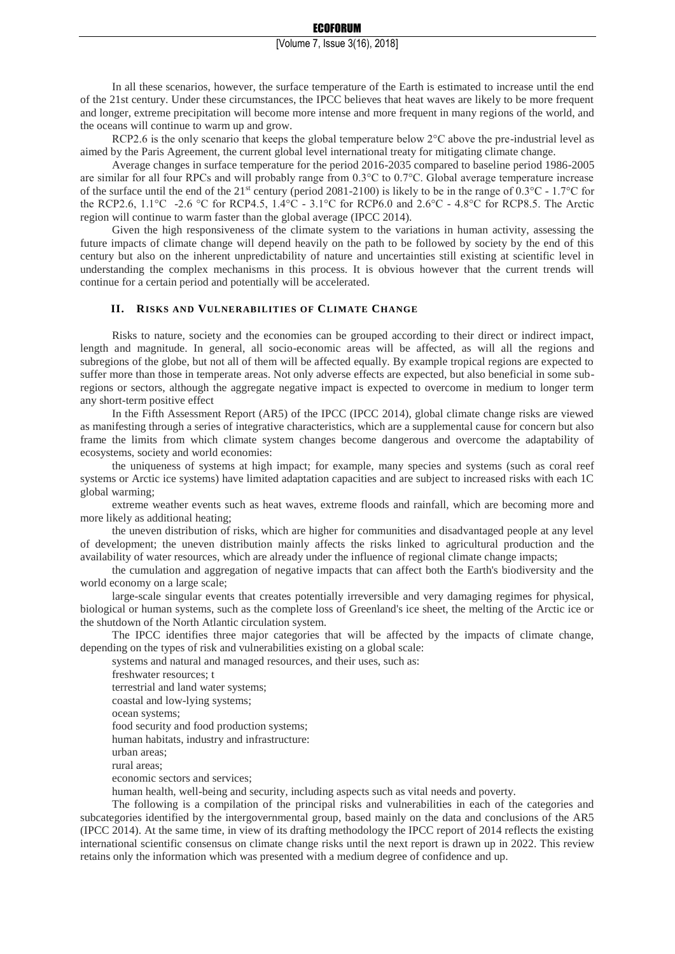In all these scenarios, however, the surface temperature of the Earth is estimated to increase until the end of the 21st century. Under these circumstances, the IPCC believes that heat waves are likely to be more frequent and longer, extreme precipitation will become more intense and more frequent in many regions of the world, and the oceans will continue to warm up and grow.

RCP2.6 is the only scenario that keeps the global temperature below  $2^{\circ}$ C above the pre-industrial level as aimed by the Paris Agreement, the current global level international treaty for mitigating climate change.

Average changes in surface temperature for the period 2016-2035 compared to baseline period 1986-2005 are similar for all four RPCs and will probably range from 0.3°C to 0.7°C. Global average temperature increase of the surface until the end of the 21<sup>st</sup> century (period 2081-2100) is likely to be in the range of  $0.3^{\circ}\text{C}$  - 1.7°C for the RCP2.6, 1.1°C -2.6 °C for RCP4.5, 1.4°C - 3.1°C for RCP6.0 and 2.6°C - 4.8°C for RCP8.5. The Arctic region will continue to warm faster than the global average (IPCC 2014).

Given the high responsiveness of the climate system to the variations in human activity, assessing the future impacts of climate change will depend heavily on the path to be followed by society by the end of this century but also on the inherent unpredictability of nature and uncertainties still existing at scientific level in understanding the complex mechanisms in this process. It is obvious however that the current trends will continue for a certain period and potentially will be accelerated.

## **II. RISKS AND VULNERABILITIES OF CLIMATE CHANGE**

Risks to nature, society and the economies can be grouped according to their direct or indirect impact, length and magnitude. In general, all socio-economic areas will be affected, as will all the regions and subregions of the globe, but not all of them will be affected equally. By example tropical regions are expected to suffer more than those in temperate areas. Not only adverse effects are expected, but also beneficial in some subregions or sectors, although the aggregate negative impact is expected to overcome in medium to longer term any short-term positive effect

In the Fifth Assessment Report (AR5) of the IPCC (IPCC 2014), global climate change risks are viewed as manifesting through a series of integrative characteristics, which are a supplemental cause for concern but also frame the limits from which climate system changes become dangerous and overcome the adaptability of ecosystems, society and world economies:

the uniqueness of systems at high impact; for example, many species and systems (such as coral reef systems or Arctic ice systems) have limited adaptation capacities and are subject to increased risks with each 1C global warming;

extreme weather events such as heat waves, extreme floods and rainfall, which are becoming more and more likely as additional heating;

the uneven distribution of risks, which are higher for communities and disadvantaged people at any level of development; the uneven distribution mainly affects the risks linked to agricultural production and the availability of water resources, which are already under the influence of regional climate change impacts;

the cumulation and aggregation of negative impacts that can affect both the Earth's biodiversity and the world economy on a large scale;

large-scale singular events that creates potentially irreversible and very damaging regimes for physical, biological or human systems, such as the complete loss of Greenland's ice sheet, the melting of the Arctic ice or the shutdown of the North Atlantic circulation system.

The IPCC identifies three major categories that will be affected by the impacts of climate change, depending on the types of risk and vulnerabilities existing on a global scale:

systems and natural and managed resources, and their uses, such as:

freshwater resources; t

terrestrial and land water systems;

coastal and low-lying systems;

ocean systems;

food security and food production systems;

human habitats, industry and infrastructure:

urban areas;

rural areas;

economic sectors and services;

human health, well-being and security, including aspects such as vital needs and poverty.

The following is a compilation of the principal risks and vulnerabilities in each of the categories and subcategories identified by the intergovernmental group, based mainly on the data and conclusions of the AR5 (IPCC 2014). At the same time, in view of its drafting methodology the IPCC report of 2014 reflects the existing international scientific consensus on climate change risks until the next report is drawn up in 2022. This review retains only the information which was presented with a medium degree of confidence and up.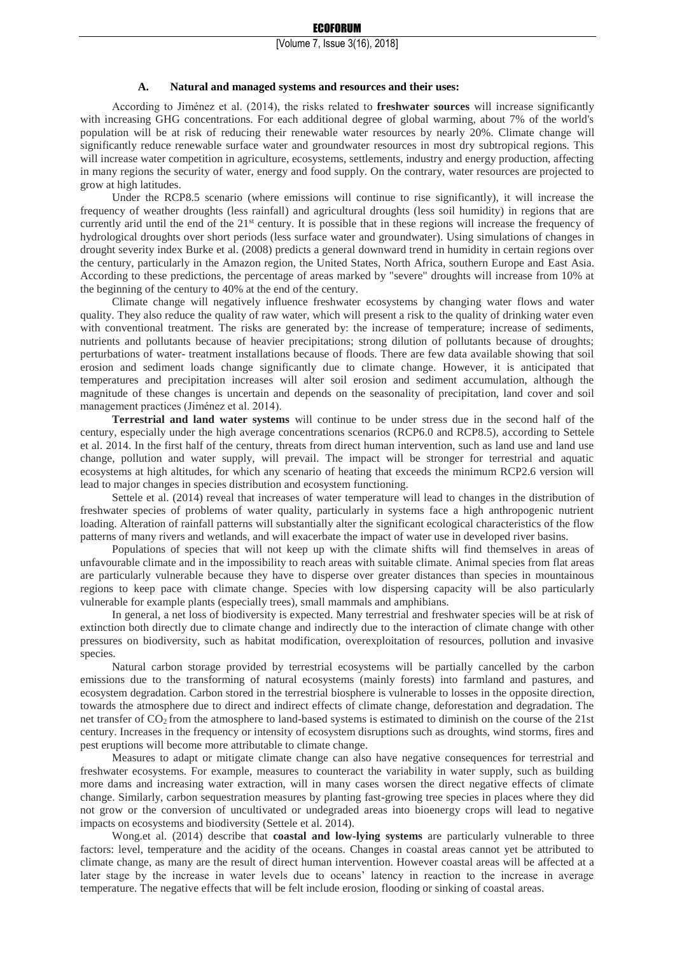#### **A. Natural and managed systems and resources and their uses:**

According to Jiménez et al. (2014), the risks related to **freshwater sources** will increase significantly with increasing GHG concentrations. For each additional degree of global warming, about 7% of the world's population will be at risk of reducing their renewable water resources by nearly 20%. Climate change will significantly reduce renewable surface water and groundwater resources in most dry subtropical regions. This will increase water competition in agriculture, ecosystems, settlements, industry and energy production, affecting in many regions the security of water, energy and food supply. On the contrary, water resources are projected to grow at high latitudes.

Under the RCP8.5 scenario (where emissions will continue to rise significantly), it will increase the frequency of weather droughts (less rainfall) and agricultural droughts (less soil humidity) in regions that are currently arid until the end of the 21<sup>st</sup> century. It is possible that in these regions will increase the frequency of hydrological droughts over short periods (less surface water and groundwater). Using simulations of changes in drought severity index Burke et al. (2008) predicts a general downward trend in humidity in certain regions over the century, particularly in the Amazon region, the United States, North Africa, southern Europe and East Asia. According to these predictions, the percentage of areas marked by "severe" droughts will increase from 10% at the beginning of the century to 40% at the end of the century.

Climate change will negatively influence freshwater ecosystems by changing water flows and water quality. They also reduce the quality of raw water, which will present a risk to the quality of drinking water even with conventional treatment. The risks are generated by: the increase of temperature; increase of sediments, nutrients and pollutants because of heavier precipitations; strong dilution of pollutants because of droughts; perturbations of water- treatment installations because of floods. There are few data available showing that soil erosion and sediment loads change significantly due to climate change. However, it is anticipated that temperatures and precipitation increases will alter soil erosion and sediment accumulation, although the magnitude of these changes is uncertain and depends on the seasonality of precipitation, land cover and soil management practices (Jiménez et al. 2014).

**Terrestrial and land water systems** will continue to be under stress due in the second half of the century, especially under the high average concentrations scenarios (RCP6.0 and RCP8.5), according to Settele et al. 2014. In the first half of the century, threats from direct human intervention, such as land use and land use change, pollution and water supply, will prevail. The impact will be stronger for terrestrial and aquatic ecosystems at high altitudes, for which any scenario of heating that exceeds the minimum RCP2.6 version will lead to major changes in species distribution and ecosystem functioning.

Settele et al. (2014) reveal that increases of water temperature will lead to changes in the distribution of freshwater species of problems of water quality, particularly in systems face a high anthropogenic nutrient loading. Alteration of rainfall patterns will substantially alter the significant ecological characteristics of the flow patterns of many rivers and wetlands, and will exacerbate the impact of water use in developed river basins.

Populations of species that will not keep up with the climate shifts will find themselves in areas of unfavourable climate and in the impossibility to reach areas with suitable climate. Animal species from flat areas are particularly vulnerable because they have to disperse over greater distances than species in mountainous regions to keep pace with climate change. Species with low dispersing capacity will be also particularly vulnerable for example plants (especially trees), small mammals and amphibians.

In general, a net loss of biodiversity is expected. Many terrestrial and freshwater species will be at risk of extinction both directly due to climate change and indirectly due to the interaction of climate change with other pressures on biodiversity, such as habitat modification, overexploitation of resources, pollution and invasive species.

Natural carbon storage provided by terrestrial ecosystems will be partially cancelled by the carbon emissions due to the transforming of natural ecosystems (mainly forests) into farmland and pastures, and ecosystem degradation. Carbon stored in the terrestrial biosphere is vulnerable to losses in the opposite direction, towards the atmosphere due to direct and indirect effects of climate change, deforestation and degradation. The net transfer of CO2 from the atmosphere to land-based systems is estimated to diminish on the course of the 21st century. Increases in the frequency or intensity of ecosystem disruptions such as droughts, wind storms, fires and pest eruptions will become more attributable to climate change.

Measures to adapt or mitigate climate change can also have negative consequences for terrestrial and freshwater ecosystems. For example, measures to counteract the variability in water supply, such as building more dams and increasing water extraction, will in many cases worsen the direct negative effects of climate change. Similarly, carbon sequestration measures by planting fast-growing tree species in places where they did not grow or the conversion of uncultivated or undegraded areas into bioenergy crops will lead to negative impacts on ecosystems and biodiversity (Settele et al. 2014).

Wong.et al. (2014) describe that **coastal and low-lying systems** are particularly vulnerable to three factors: level, temperature and the acidity of the oceans. Changes in coastal areas cannot yet be attributed to climate change, as many are the result of direct human intervention. However coastal areas will be affected at a later stage by the increase in water levels due to oceans' latency in reaction to the increase in average temperature. The negative effects that will be felt include erosion, flooding or sinking of coastal areas.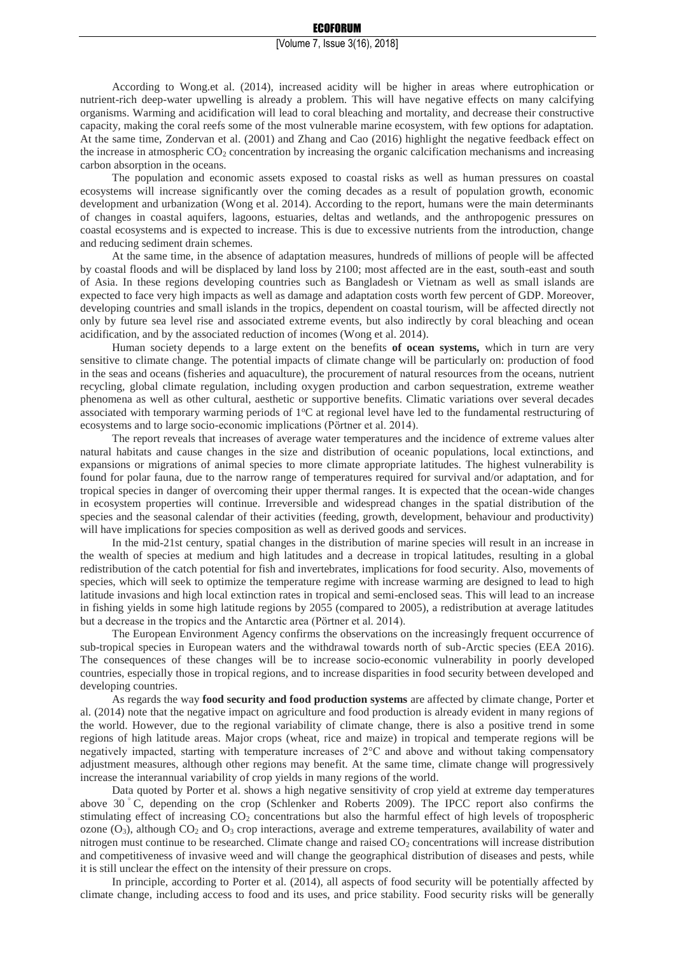According to Wong.et al. (2014), increased acidity will be higher in areas where eutrophication or nutrient-rich deep-water upwelling is already a problem. This will have negative effects on many calcifying organisms. Warming and acidification will lead to coral bleaching and mortality, and decrease their constructive capacity, making the coral reefs some of the most vulnerable marine ecosystem, with few options for adaptation. At the same time, Zondervan et al. (2001) and Zhang and Cao (2016) highlight the negative feedback effect on the increase in atmospheric  $CO<sub>2</sub>$  concentration by increasing the organic calcification mechanisms and increasing carbon absorption in the oceans.

The population and economic assets exposed to coastal risks as well as human pressures on coastal ecosystems will increase significantly over the coming decades as a result of population growth, economic development and urbanization (Wong et al. 2014). According to the report, humans were the main determinants of changes in coastal aquifers, lagoons, estuaries, deltas and wetlands, and the anthropogenic pressures on coastal ecosystems and is expected to increase. This is due to excessive nutrients from the introduction, change and reducing sediment drain schemes.

At the same time, in the absence of adaptation measures, hundreds of millions of people will be affected by coastal floods and will be displaced by land loss by 2100; most affected are in the east, south-east and south of Asia. In these regions developing countries such as Bangladesh or Vietnam as well as small islands are expected to face very high impacts as well as damage and adaptation costs worth few percent of GDP. Moreover, developing countries and small islands in the tropics, dependent on coastal tourism, will be affected directly not only by future sea level rise and associated extreme events, but also indirectly by coral bleaching and ocean acidification, and by the associated reduction of incomes (Wong et al. 2014).

Human society depends to a large extent on the benefits **of ocean systems,** which in turn are very sensitive to climate change. The potential impacts of climate change will be particularly on: production of food in the seas and oceans (fisheries and aquaculture), the procurement of natural resources from the oceans, nutrient recycling, global climate regulation, including oxygen production and carbon sequestration, extreme weather phenomena as well as other cultural, aesthetic or supportive benefits. Climatic variations over several decades associated with temporary warming periods of  $1^{\circ}C$  at regional level have led to the fundamental restructuring of ecosystems and to large socio-economic implications (Pörtner et al. 2014).

The report reveals that increases of average water temperatures and the incidence of extreme values alter natural habitats and cause changes in the size and distribution of oceanic populations, local extinctions, and expansions or migrations of animal species to more climate appropriate latitudes. The highest vulnerability is found for polar fauna, due to the narrow range of temperatures required for survival and/or adaptation, and for tropical species in danger of overcoming their upper thermal ranges. It is expected that the ocean-wide changes in ecosystem properties will continue. Irreversible and widespread changes in the spatial distribution of the species and the seasonal calendar of their activities (feeding, growth, development, behaviour and productivity) will have implications for species composition as well as derived goods and services.

In the mid-21st century, spatial changes in the distribution of marine species will result in an increase in the wealth of species at medium and high latitudes and a decrease in tropical latitudes, resulting in a global redistribution of the catch potential for fish and invertebrates, implications for food security. Also, movements of species, which will seek to optimize the temperature regime with increase warming are designed to lead to high latitude invasions and high local extinction rates in tropical and semi-enclosed seas. This will lead to an increase in fishing yields in some high latitude regions by 2055 (compared to 2005), a redistribution at average latitudes but a decrease in the tropics and the Antarctic area (Pörtner et al. 2014).

The European Environment Agency confirms the observations on the increasingly frequent occurrence of sub-tropical species in European waters and the withdrawal towards north of sub-Arctic species (EEA 2016). The consequences of these changes will be to increase socio-economic vulnerability in poorly developed countries, especially those in tropical regions, and to increase disparities in food security between developed and developing countries.

As regards the way **food security and food production systems** are affected by climate change, Porter et al. (2014) note that the negative impact on agriculture and food production is already evident in many regions of the world. However, due to the regional variability of climate change, there is also a positive trend in some regions of high latitude areas. Major crops (wheat, rice and maize) in tropical and temperate regions will be negatively impacted, starting with temperature increases of 2°C and above and without taking compensatory adjustment measures, although other regions may benefit. At the same time, climate change will progressively increase the interannual variability of crop yields in many regions of the world.

Data quoted by Porter et al. shows a high negative sensitivity of crop yield at extreme day temperatures above 30 ° C, depending on the crop (Schlenker and Roberts 2009). The IPCC report also confirms the stimulating effect of increasing  $CO<sub>2</sub>$  concentrations but also the harmful effect of high levels of tropospheric ozone  $(O_3)$ , although  $CO_2$  and  $O_3$  crop interactions, average and extreme temperatures, availability of water and nitrogen must continue to be researched. Climate change and raised  $CO<sub>2</sub>$  concentrations will increase distribution and competitiveness of invasive weed and will change the geographical distribution of diseases and pests, while it is still unclear the effect on the intensity of their pressure on crops.

In principle, according to Porter et al. (2014), all aspects of food security will be potentially affected by climate change, including access to food and its uses, and price stability. Food security risks will be generally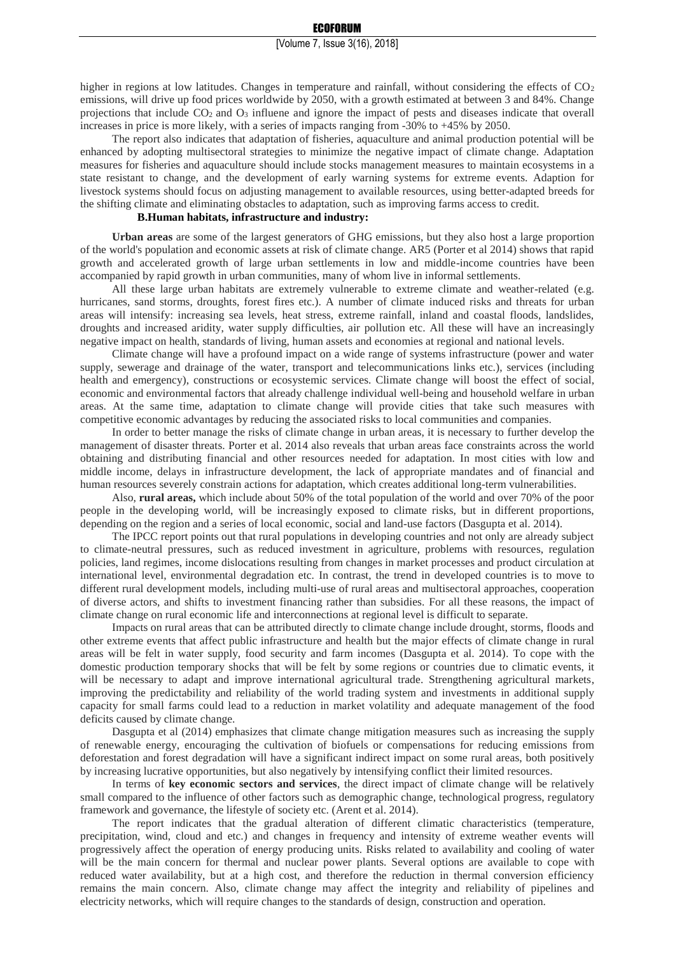higher in regions at low latitudes. Changes in temperature and rainfall, without considering the effects of  $CO<sub>2</sub>$ emissions, will drive up food prices worldwide by 2050, with a growth estimated at between 3 and 84%. Change projections that include  $CO<sub>2</sub>$  and  $O<sub>3</sub>$  influene and ignore the impact of pests and diseases indicate that overall increases in price is more likely, with a series of impacts ranging from -30% to +45% by 2050.

The report also indicates that adaptation of fisheries, aquaculture and animal production potential will be enhanced by adopting multisectoral strategies to minimize the negative impact of climate change. Adaptation measures for fisheries and aquaculture should include stocks management measures to maintain ecosystems in a state resistant to change, and the development of early warning systems for extreme events. Adaption for livestock systems should focus on adjusting management to available resources, using better-adapted breeds for the shifting climate and eliminating obstacles to adaptation, such as improving farms access to credit.

### **B.Human habitats, infrastructure and industry:**

**Urban areas** are some of the largest generators of GHG emissions, but they also host a large proportion of the world's population and economic assets at risk of climate change. AR5 (Porter et al 2014) shows that rapid growth and accelerated growth of large urban settlements in low and middle-income countries have been accompanied by rapid growth in urban communities, many of whom live in informal settlements.

All these large urban habitats are extremely vulnerable to extreme climate and weather-related (e.g. hurricanes, sand storms, droughts, forest fires etc.). A number of climate induced risks and threats for urban areas will intensify: increasing sea levels, heat stress, extreme rainfall, inland and coastal floods, landslides, droughts and increased aridity, water supply difficulties, air pollution etc. All these will have an increasingly negative impact on health, standards of living, human assets and economies at regional and national levels.

Climate change will have a profound impact on a wide range of systems infrastructure (power and water supply, sewerage and drainage of the water, transport and telecommunications links etc.), services (including health and emergency), constructions or ecosystemic services. Climate change will boost the effect of social, economic and environmental factors that already challenge individual well-being and household welfare in urban areas. At the same time, adaptation to climate change will provide cities that take such measures with competitive economic advantages by reducing the associated risks to local communities and companies.

In order to better manage the risks of climate change in urban areas, it is necessary to further develop the management of disaster threats. Porter et al. 2014 also reveals that urban areas face constraints across the world obtaining and distributing financial and other resources needed for adaptation. In most cities with low and middle income, delays in infrastructure development, the lack of appropriate mandates and of financial and human resources severely constrain actions for adaptation, which creates additional long-term vulnerabilities.

Also, **rural areas,** which include about 50% of the total population of the world and over 70% of the poor people in the developing world, will be increasingly exposed to climate risks, but in different proportions, depending on the region and a series of local economic, social and land-use factors (Dasgupta et al. 2014).

The IPCC report points out that rural populations in developing countries and not only are already subject to climate-neutral pressures, such as reduced investment in agriculture, problems with resources, regulation policies, land regimes, income dislocations resulting from changes in market processes and product circulation at international level, environmental degradation etc. In contrast, the trend in developed countries is to move to different rural development models, including multi-use of rural areas and multisectoral approaches, cooperation of diverse actors, and shifts to investment financing rather than subsidies. For all these reasons, the impact of climate change on rural economic life and interconnections at regional level is difficult to separate.

Impacts on rural areas that can be attributed directly to climate change include drought, storms, floods and other extreme events that affect public infrastructure and health but the major effects of climate change in rural areas will be felt in water supply, food security and farm incomes (Dasgupta et al. 2014). To cope with the domestic production temporary shocks that will be felt by some regions or countries due to climatic events, it will be necessary to adapt and improve international agricultural trade. Strengthening agricultural markets, improving the predictability and reliability of the world trading system and investments in additional supply capacity for small farms could lead to a reduction in market volatility and adequate management of the food deficits caused by climate change.

Dasgupta et al (2014) emphasizes that climate change mitigation measures such as increasing the supply of renewable energy, encouraging the cultivation of biofuels or compensations for reducing emissions from deforestation and forest degradation will have a significant indirect impact on some rural areas, both positively by increasing lucrative opportunities, but also negatively by intensifying conflict their limited resources.

In terms of **key economic sectors and services**, the direct impact of climate change will be relatively small compared to the influence of other factors such as demographic change, technological progress, regulatory framework and governance, the lifestyle of society etc. (Arent et al. 2014).

The report indicates that the gradual alteration of different climatic characteristics (temperature, precipitation, wind, cloud and etc.) and changes in frequency and intensity of extreme weather events will progressively affect the operation of energy producing units. Risks related to availability and cooling of water will be the main concern for thermal and nuclear power plants. Several options are available to cope with reduced water availability, but at a high cost, and therefore the reduction in thermal conversion efficiency remains the main concern. Also, climate change may affect the integrity and reliability of pipelines and electricity networks, which will require changes to the standards of design, construction and operation.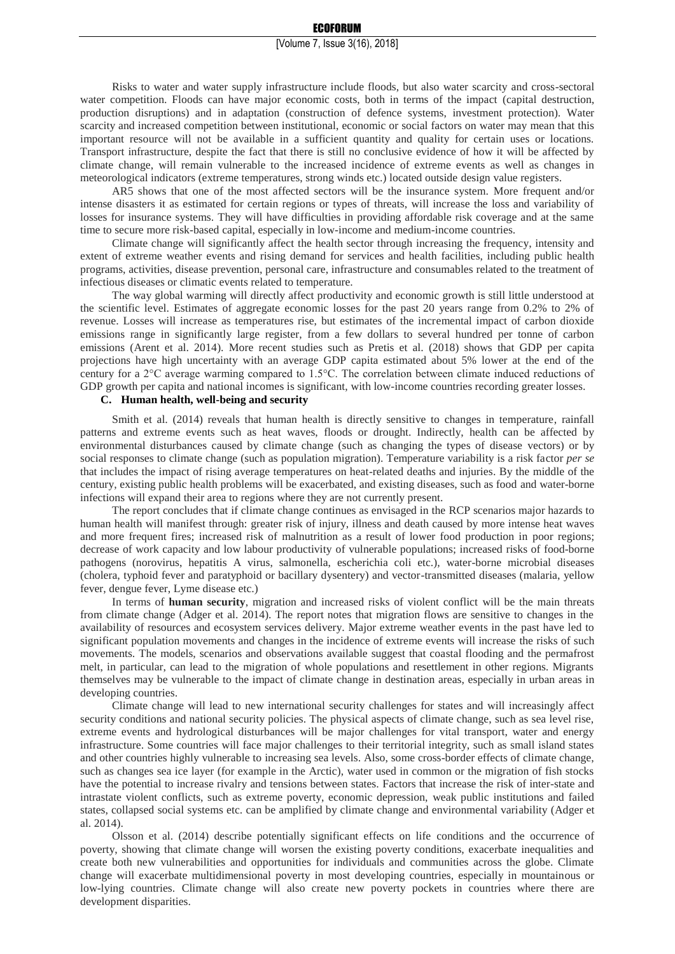Risks to water and water supply infrastructure include floods, but also water scarcity and cross-sectoral water competition. Floods can have major economic costs, both in terms of the impact (capital destruction, production disruptions) and in adaptation (construction of defence systems, investment protection). Water scarcity and increased competition between institutional, economic or social factors on water may mean that this important resource will not be available in a sufficient quantity and quality for certain uses or locations. Transport infrastructure, despite the fact that there is still no conclusive evidence of how it will be affected by climate change, will remain vulnerable to the increased incidence of extreme events as well as changes in meteorological indicators (extreme temperatures, strong winds etc.) located outside design value registers.

AR5 shows that one of the most affected sectors will be the insurance system. More frequent and/or intense disasters it as estimated for certain regions or types of threats, will increase the loss and variability of losses for insurance systems. They will have difficulties in providing affordable risk coverage and at the same time to secure more risk-based capital, especially in low-income and medium-income countries.

Climate change will significantly affect the health sector through increasing the frequency, intensity and extent of extreme weather events and rising demand for services and health facilities, including public health programs, activities, disease prevention, personal care, infrastructure and consumables related to the treatment of infectious diseases or climatic events related to temperature.

The way global warming will directly affect productivity and economic growth is still little understood at the scientific level. Estimates of aggregate economic losses for the past 20 years range from 0.2% to 2% of revenue. Losses will increase as temperatures rise, but estimates of the incremental impact of carbon dioxide emissions range in significantly large register, from a few dollars to several hundred per tonne of carbon emissions (Arent et al. 2014). More recent studies such as Pretis et al. (2018) shows that GDP per capita projections have high uncertainty with an average GDP capita estimated about 5% lower at the end of the century for a 2°C average warming compared to 1.5°C. The correlation between climate induced reductions of GDP growth per capita and national incomes is significant, with low-income countries recording greater losses.

### **C. Human health, well-being and security**

Smith et al. (2014) reveals that human health is directly sensitive to changes in temperature, rainfall patterns and extreme events such as heat waves, floods or drought. Indirectly, health can be affected by environmental disturbances caused by climate change (such as changing the types of disease vectors) or by social responses to climate change (such as population migration). Temperature variability is a risk factor *per se* that includes the impact of rising average temperatures on heat-related deaths and injuries. By the middle of the century, existing public health problems will be exacerbated, and existing diseases, such as food and water-borne infections will expand their area to regions where they are not currently present.

The report concludes that if climate change continues as envisaged in the RCP scenarios major hazards to human health will manifest through: greater risk of injury, illness and death caused by more intense heat waves and more frequent fires; increased risk of malnutrition as a result of lower food production in poor regions; decrease of work capacity and low labour productivity of vulnerable populations; increased risks of food-borne pathogens (norovirus, hepatitis A virus, salmonella, escherichia coli etc.), water-borne microbial diseases (cholera, typhoid fever and paratyphoid or bacillary dysentery) and vector-transmitted diseases (malaria, yellow fever, dengue fever, Lyme disease etc.)

In terms of **human security**, migration and increased risks of violent conflict will be the main threats from climate change (Adger et al. 2014). The report notes that migration flows are sensitive to changes in the availability of resources and ecosystem services delivery. Major extreme weather events in the past have led to significant population movements and changes in the incidence of extreme events will increase the risks of such movements. The models, scenarios and observations available suggest that coastal flooding and the permafrost melt, in particular, can lead to the migration of whole populations and resettlement in other regions. Migrants themselves may be vulnerable to the impact of climate change in destination areas, especially in urban areas in developing countries.

Climate change will lead to new international security challenges for states and will increasingly affect security conditions and national security policies. The physical aspects of climate change, such as sea level rise, extreme events and hydrological disturbances will be major challenges for vital transport, water and energy infrastructure. Some countries will face major challenges to their territorial integrity, such as small island states and other countries highly vulnerable to increasing sea levels. Also, some cross-border effects of climate change, such as changes sea ice layer (for example in the Arctic), water used in common or the migration of fish stocks have the potential to increase rivalry and tensions between states. Factors that increase the risk of inter-state and intrastate violent conflicts, such as extreme poverty, economic depression, weak public institutions and failed states, collapsed social systems etc. can be amplified by climate change and environmental variability (Adger et al. 2014).

Olsson et al. (2014) describe potentially significant effects on life conditions and the occurrence of poverty, showing that climate change will worsen the existing poverty conditions, exacerbate inequalities and create both new vulnerabilities and opportunities for individuals and communities across the globe. Climate change will exacerbate multidimensional poverty in most developing countries, especially in mountainous or low-lying countries. Climate change will also create new poverty pockets in countries where there are development disparities.